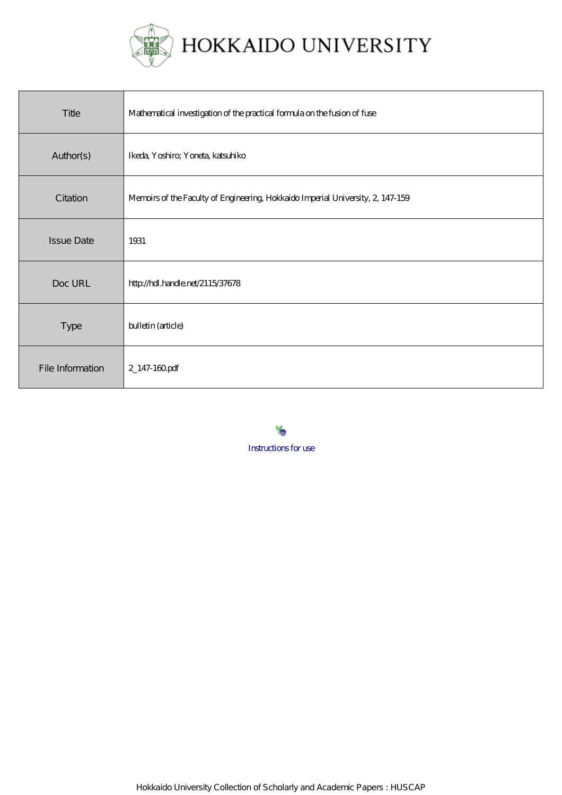

HOKKAIDO UNIVERSITY

| Title             | Mathematical investigation of the practical formula on the fusion of fuse       |
|-------------------|---------------------------------------------------------------------------------|
| Author(s)         | Ikeda, Yoshiro; Yoneta, katsuhiko                                               |
| Citation          | Memoirs of the Faculty of Engineering, Hokkaido Imperial University, 2, 147-159 |
| <b>Issue Date</b> | 1931                                                                            |
| Doc URL           | http://hdl.handle.net/2115/37678                                                |
| <b>Type</b>       | bulletin (article)                                                              |
| File Information  | 2_147-160pdf                                                                    |

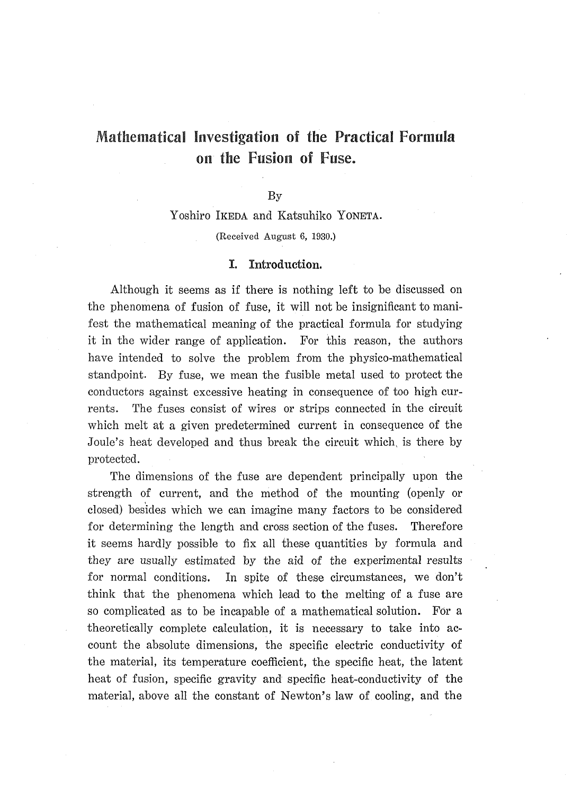# Mathematical Investigation of the Practical Formula on the Fusion of Fuse.

### **By**

Yoshiro IKEDA and Katsuhiko YONETA. (Received August 6, 1930.)

#### Introduction. I.

Although it seems as if there is nothing left to be discussed on the phenomena of fusion of fuse, it will not be insignificant to manifest the mathematical meaning of the practical formula for studying it in the wider range of application. For this reason, the authors have intended to solve the problem from the physico-mathematical standpoint. By fuse, we mean the fusible metal used to protect the conductors against excessive heating in consequence of too high currents. The fuses consist of wires or strips connected in the circuit which melt at a given predetermined current in consequence of the Joule's heat developed and thus break the circuit which is there by protected.

The dimensions of the fuse are dependent principally upon the strength of current, and the method of the mounting (openly or closed) besides which we can imagine many factors to be considered for determining the length and cross section of the fuses. Therefore it seems hardly possible to fix all these quantities by formula and they are usually estimated by the aid of the experimental results for normal conditions. In spite of these circumstances, we don't think that the phenomena which lead to the melting of a fuse are so complicated as to be incapable of a mathematical solution. For a theoretically complete calculation, it is necessary to take into account the absolute dimensions, the specific electric conductivity of the material, its temperature coefficient, the specific heat, the latent heat of fusion, specific gravity and specific heat-conductivity of the material, above all the constant of Newton's law of cooling, and the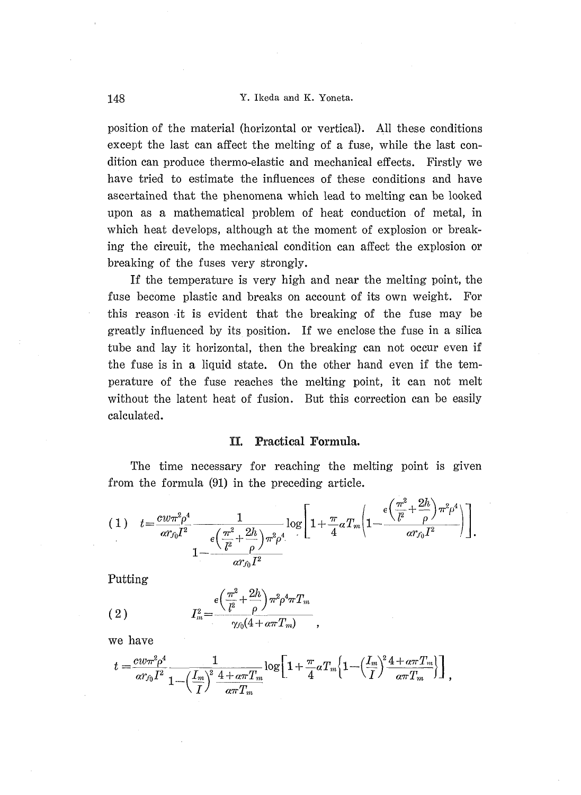position of the material (horizontal or vertical). All these conditions exeept the last can affect the melting of a fuse, while the last condition can produee thermo-elastic and mechanical effects. Firstly we have tried to estimate the infiuences of these conditions and have ascertained that the phenomena which lead to melting can be looked upon as a mathematical problem of heat eonduction of metal, in which heat develops, although at the moment of explosion or breaking the circuit, the mechanical condition can affect the explosion or breaking of the fuses very strongly.

 If the temperature is very high and near the melting point, the fuse become plastic and breaks on account of its own weight. For this reason it is evident that the breaking of the fuse may be greatly influenced by its position. If we enclosethe fuse in a silica tube and lay it horizontal, then the breaking can not occur even if the fuse is in a liquid state. On the other hand even if the temperature of the fuse reaches the melting point, it can not melt without the Iatent heat of fusion. But this correction ean be easily calculated.

### II. Practical Formula.

 The time necessary for reaching the melting point is given from the formula (91) in the preceding article.

$$
(1) \quad t = \frac{c w \pi^2 \rho^4}{\alpha r_{f0} I^2} \frac{1}{\frac{\epsilon \left(\frac{\pi^2}{l^2} + \frac{2h}{\rho}\right) \pi^2 \rho^4}{\alpha r_{f0} I^2}} \log \left[1 + \frac{\pi}{4} \alpha T_m \left(1 - \frac{\frac{\epsilon \left(\frac{\pi^2}{l^2} + \frac{2h}{\rho}\right) \pi^2 \rho^4}{\alpha r_{f0} I^2}\right)\right]}{\alpha r_{f0} I^2} \right].
$$

Putting

(2) 
$$
I_m^2 = \frac{\epsilon \left(\frac{\pi^2}{l^2} + \frac{2h}{\rho}\right) \pi^2 \rho^4 \pi T_m}{\gamma_{f0} (4 + \alpha \pi T_m)}
$$

we have

$$
t = \frac{cw\pi^2\rho^4}{\alpha r_{f0}I^2} \frac{1}{1-\left(\frac{I_m}{I}\right)^2\frac{4+a\pi T_m}{a\pi T_m}} \log\left[1+\frac{\pi}{4}aT_m\left\{1-\left(\frac{I_m}{I}\right)^2\frac{4+a\pi T_m}{a\pi T_m}\right\}\right],
$$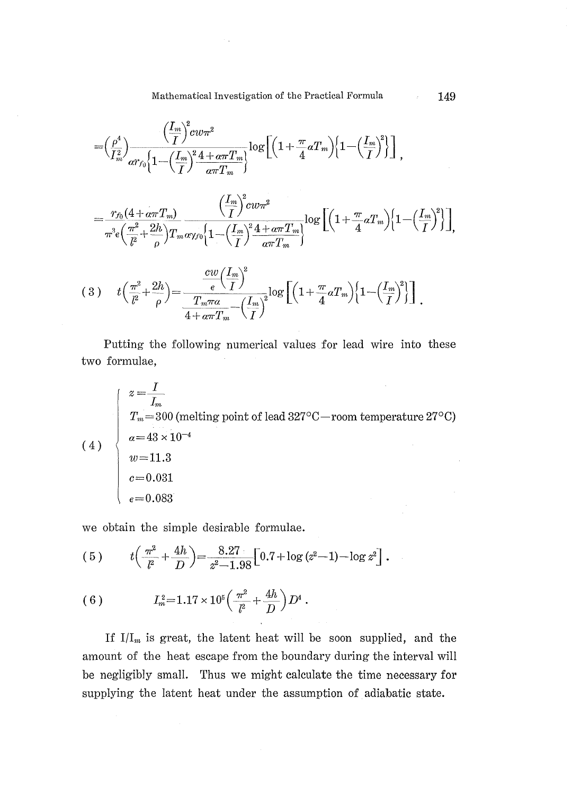Mathematical Investigation of the Practical Formula 149

$$
=\!\Big(\frac{\rho^4}{I_m^2}\!\Big)\!\frac{\Big(\!\frac{I_m}{I}\!\Big)^2 \!cw\pi^2}{\alpha r_{f0}\!\Big\{1\!-\!\Big(\!\frac{I_m}{I}\!\Big)^2\! \frac{4+\alpha\pi T_m}{\alpha\pi T_m}\!\Big\}\!\log\Big[\!\Big(1\!+\!\frac{\pi}{4}\alpha T_m\Big)\!\Big\{1\!-\!\Big(\!\frac{I_m}{I}\!\Big)^{\!2}\!\Big\}\Big]\,,
$$

$$
=\frac{r_{f_0}(4+a\pi T_m)}{\pi^3 \epsilon \left(\frac{\pi^2}{l^2}+\frac{2h}{\rho}\right) T_m a \gamma_{f0} \left\{1-\left(\frac{I_m}{I}\right)^2 \frac{4+a\pi T_m}{a\pi T_m}\right\}} \log \left[\left(1+\frac{\pi}{4}aT_m\right) \left\{1-\left(\frac{I_m}{I}\right)^2\right\}\right]
$$

$$
(3) \t t \left(\frac{\pi^2}{l^2} + \frac{2h}{\rho}\right) = \frac{\frac{cw}{\epsilon} \left(\frac{I_m}{I}\right)^2}{\frac{T_m \pi a}{4 + \alpha \pi T_m} - \left(\frac{I_m}{I}\right)^2} \log\left[\left(1 + \frac{\pi}{4} a T_m\right) \left\{1 - \left(\frac{I_m}{I}\right)^2\right\}\right].
$$

two formulae, Putting the following numerical values for Iead wire into these

(4)  $z = \frac{I}{I_m}$  $T_m{=}300$  (melting point of lead 327°C—room temperature 27°C)  $a\!=\!43\!\times\!10^{-4}$  $w = 11.3$  $c\!=\!0.031$  $_{\epsilon}{=}\,0.083$ 

we obtain the simple desirable formulae.

(5) 
$$
t\left(\frac{\pi^2}{l^2} + \frac{4h}{D}\right) = \frac{8.27}{z^2 - 1.98} \left[0.7 + \log{(z^2 - 1)} - \log{z^2}\right].
$$

(6) 
$$
I_m^2 = 1.17 \times 10^5 \left( \frac{\pi^2}{l^2} + \frac{4h}{D} \right) D^4.
$$

If  $I/I_m$  is great, the latent heat will be soon supplied, and the amount of the heat escape from the boundary during the interval will be negligibly small. Thus we might calculate the time necessary for supplying the latent heat under the assumption of adiabatic state.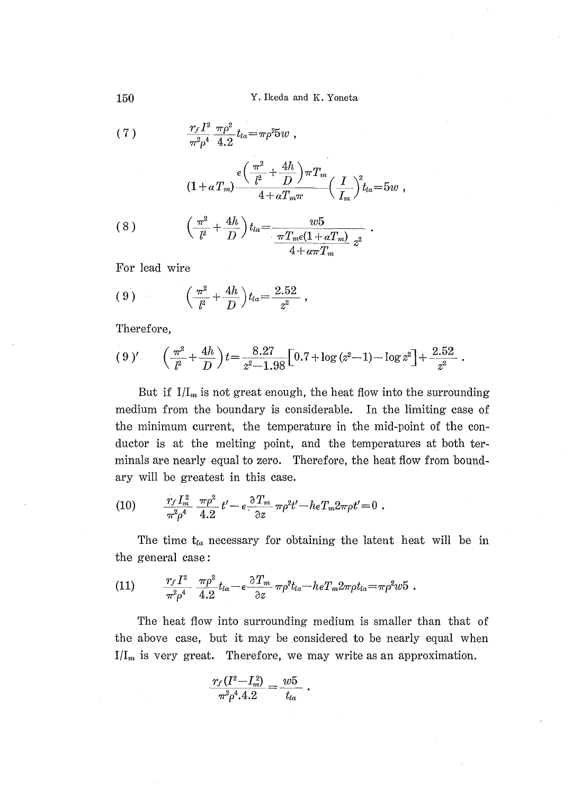150 Y. Ikeda and K. Yoneta

(7) 
$$
\frac{r_f I^2}{\pi^2 \rho^4} \frac{\pi \rho^2}{4 \cdot 2} t_{la} = \pi \rho^2 5w,
$$

$$
(1+a T_m) \frac{e\left(\frac{\pi^2}{l^2}+\frac{4h}{D}\right)\pi T_m}{4+a T_m \pi} \left(\frac{I}{I_m}\right)^2 t_{la} = 5w,
$$

(8) 
$$
\left(\frac{\pi^2}{l^2} + \frac{4h}{D}\right) t_{la} = \frac{w5}{\frac{\pi T_m e (1 + \alpha T_m)}{4 + \alpha \pi T_m} z^2}.
$$

For lead wire

(9) 
$$
\left(\frac{\pi^2}{l^2} + \frac{4h}{D}\right) t_{la} = \frac{2.52}{z^2} ,
$$

Therefore,

$$
(9)' \qquad \left(\frac{\pi^2}{l^2} + \frac{4h}{D}\right)t = \frac{8.27}{z^2 - 1.98} \left[0.7 + \log{(z^2 - 1)} - \log{z^2}\right] + \frac{2.52}{z^2}.
$$

But if  $I/I_m$  is not great enough, the heat flow into the surrounding medium from the boundary is considerable. In the limiting case of the minimum current, the temperature in the mid-point of the conductor is at the melting point, and the temperatures at both terminals are nearly equal to zero. Therefore, the heat fiow from boundary will be greatest in this case.

(10) 
$$
\frac{r_f I_m^2}{\pi^2 \rho^4} \frac{\pi \rho^2}{4.2} t' - \epsilon \frac{\partial T_m}{\partial z} \pi \rho^2 t' - h \epsilon T_m 2 \pi \rho t' = 0.
$$

The time  $t_{ia}$  necessary for obtaining the latent heat will be in the general case:

(11) 
$$
\frac{r_f I^2}{\pi^2 \rho^4} \frac{\pi \rho^2}{4.2} t_{la} - \epsilon \frac{\partial T_m}{\partial z} \pi \rho^2 t_{la} - h \epsilon T_m 2 \pi \rho t_{la} = \pi \rho^2 w 5.
$$

The heat flow into surrounding medium is smaller than that the above case, but it may be considered to be nearly equal when  $I/I_m$  is very great. Therefore, we may write as an approximation.

$$
\frac{r_f(I^2{-}I_m^2)}{\pi^2\rho^4.4.2}=\frac{w5}{t_{la}}\;.
$$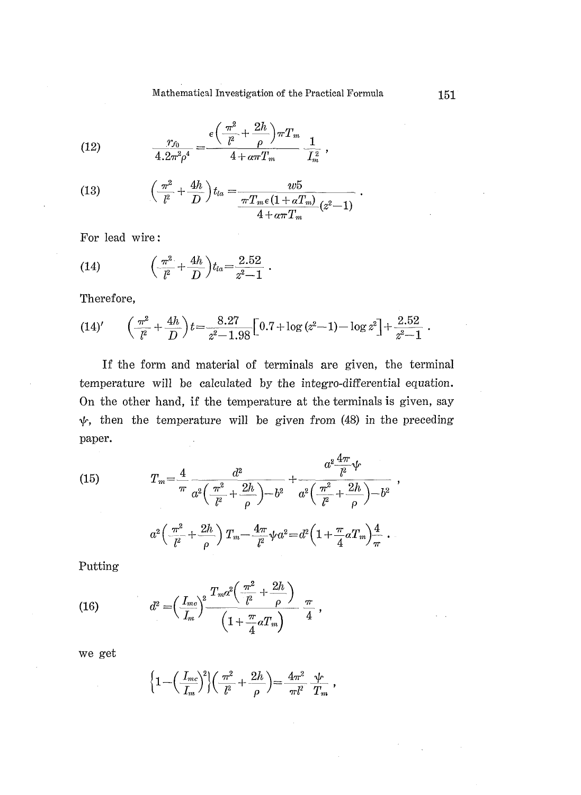Mathematical Investigation of the Practical Formula

,

(12) 
$$
\frac{r_{f_0}}{4.2\pi^2\rho^4} = \frac{\epsilon \left(\frac{\pi^2}{l^2} + \frac{2h}{\rho}\right)\pi T_m}{4 + \alpha \pi T_m} \frac{1}{L_m^2}
$$

(13) 
$$
\left(\frac{\pi^2}{l^2} + \frac{4h}{D}\right) t_{la} = \frac{w5}{\frac{\pi T_m \epsilon (1 + aT_m)}{4 + a\pi T_m} (z^2 - 1)}
$$

For lead wire:

(14) 
$$
\left(\frac{\pi^2}{l^2} + \frac{4h}{D}\right) t_{la} = \frac{2.52}{z^2 - 1}.
$$

Therefore,

$$
(14)' \qquad \left(\frac{\pi^2}{l^2} + \frac{4h}{D}\right)t = \frac{8.27}{z^2 - 1.98} \Big[0.7 + \log{(z^2 - 1)} - \log{z^2}\Big] + \frac{2.52}{z^2 - 1} \; .
$$

If the form and material of terminals are given, the terminal temperature will be calculated by the integro-differential equation. On the other hand, if the temperature at the terminals is given, say  $\psi$ , then the temperature will be given from (48) in the preceding paper.

(15) 
$$
T_m = \frac{4}{\pi} \frac{d^2}{a^2 \left(\frac{\pi^2}{l^2} + \frac{2h}{\rho}\right) - b^2} + \frac{a^2 \frac{4\pi}{l^2} \psi}{a^2 \left(\frac{\pi^2}{l^2} + \frac{2h}{\rho}\right) - b^2}
$$

$$
a^2 \left(\frac{\pi^2}{l^2} + \frac{2h}{\rho}\right) T_m - \frac{4\pi}{l^2} \psi a^2 = d^2 \left(1 + \frac{\pi}{4} a T_m\right) \frac{4}{\pi}.
$$

Putting

(16) 
$$
d^{2} = \left(\frac{I_{mc}}{I_{m}}\right)^{2} \frac{T_{m}a^{2}\left(\frac{\pi^{2}}{l^{2}} + \frac{2h}{\rho}\right)}{\left(1 + \frac{\pi}{4}aT_{m}\right)} \frac{\pi}{4},
$$

we get

$$
\Big\{1-\Big(\frac{I_{mc}}{I_m}\Big)^{\!2}\Big\}\Big(\frac{\pi^2}{l^2}+\frac{2h}{\rho}\Big)\!=\!\frac{4\pi^2}{\pi l^2}\,\frac{\psi}{T_m}\;,
$$

,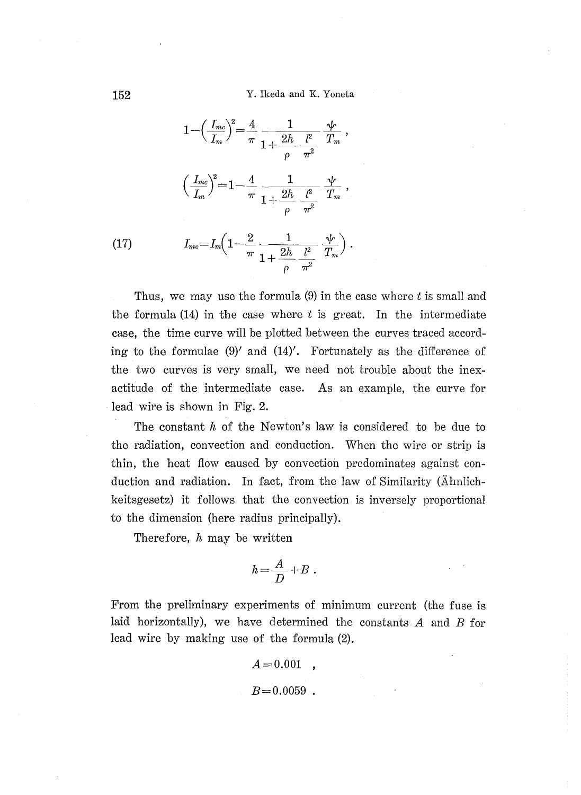152 Y. Ikeda and K. Yoneta

$$
1 - \left(\frac{I_{mc}}{I_m}\right)^2 = \frac{4}{\pi} \frac{1}{1 + \frac{2h}{\rho} \frac{l^2}{\pi^2}} \frac{\psi}{T_m},
$$

$$
\left(\frac{I_{mc}}{I_m}\right)^2 = 1 - \frac{4}{\pi} \frac{1}{1 + \frac{2h}{\rho} \frac{l^2}{\pi^2}} \frac{\psi}{T_m},
$$

$$
I_{mc} = I_m \left(1 - \frac{2}{\pi} \frac{1}{1 + \frac{2h}{\rho} \frac{l^2}{\pi^2}} \frac{\psi}{T_m}\right).
$$

Thus, we may use the formula  $(9)$  in the case where t is small and the formula  $(14)$  in the case where t is great. In the intermediate case, the time curve will be plotted between the curves traced according to the formulae (9)' and (14)'. Fortunately as the difference of the two eurves is very small, we need not trouble about the inexactitude of the intermediate case. As an example, the curve for lead wire is shown in Fig. 2.

The constant  $h$  of the Newton's law is considered to be due to the radiation, convection and conduetion. When the wire or strip is thin, the heat fiow caused by eonvection predominates against conduetion and radiation. In fact, from the law of Similarity (Ahnlichkeitsgesetz) it follows that the convection is inversely proportional to the dimension (here radius principally).

Therefore,  $h$  may be written

$$
h\!=\!\frac{A}{D}+B\;.
$$

From the preliminary experiments of minimum current (the fuse is laid horizontally), we have determined the constants  $A$  and  $B$  for lead wire by making use of the formula (2).

> $A=0.001$ ,  $B=0.0059$ .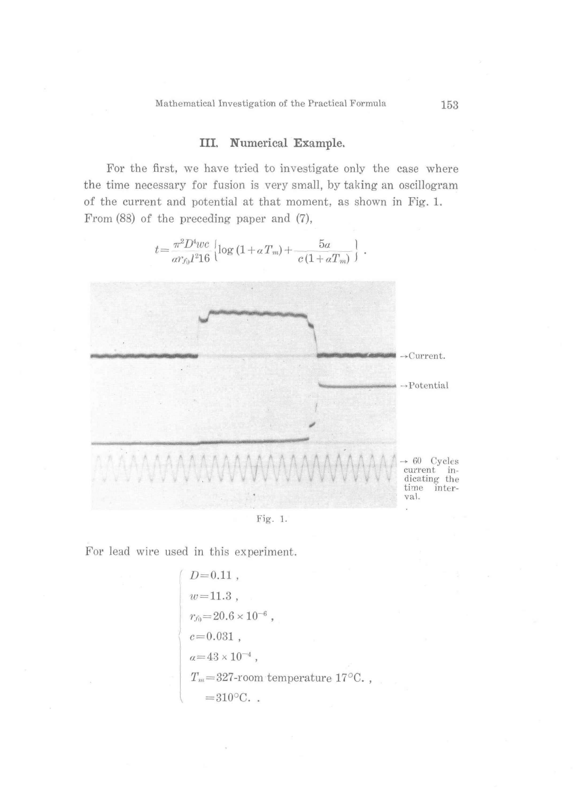## III. Numerical Example.

For the first, we have tried to investigate only the case where the time necessary for fusion is very small, by taking an oscillogram of the current and potential at that moment, as shown in Fig. 1. From (88) of the preceding paper and (7),

 $t\hspace{-0.3ex}=\hspace{-0.3ex}\frac{\pi^2 D^4 w c}{\alpha r_{f_0}l^2 16}\hspace{0.2ex}\Big[\log\left(1\hspace{-0.5ex}+\hspace{-0.5ex} \alpha T_m\right)\hspace{-0.5ex}+\hspace{-0.5ex}\frac{5a}{c\left(1\hspace{-0.5ex}+\hspace{-0.5ex} \alpha T_m\right)}\hspace{-0.5ex}\Big]\hspace{0.2ex}.\hspace{0.2ex}$ 



Fig. 1.

For lead wire used in this experiment.

$$
D=0.11,
$$
  
\n $w=11.3,$   
\n $r_{f0}=20.6\times10^{-6},$   
\n $c=0.031,$   
\n $a=43\times10^{-4},$   
\n $T_m=327$ -room temperature 17°C. ,  
\n=310°C. .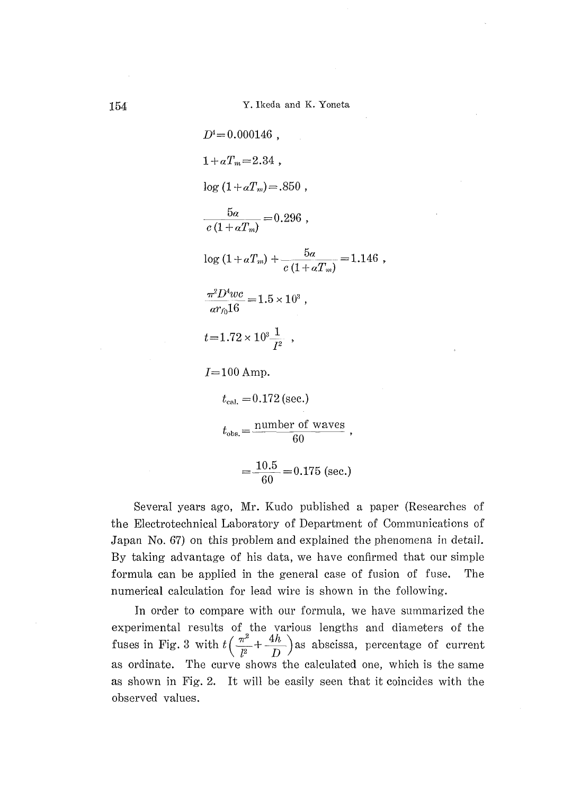$$
D^{4} = 0.000146
$$
,  
\n
$$
1 + \alpha T_{m} = 2.34
$$
,  
\n
$$
\log (1 + \alpha T_{m}) = .850
$$
,  
\n
$$
\frac{5\alpha}{c (1 + \alpha T_{m})} = 0.296
$$
,  
\n
$$
\log (1 + \alpha T_{m}) + \frac{5\alpha}{c (1 + \alpha T_{m})} = 1.146
$$
,  
\n
$$
\frac{\pi^{2} D^{4} \nu c}{\alpha r_{0} 16} = 1.5 \times 10^{3}
$$
,  
\n
$$
t = 1.72 \times 10^{3} \frac{1}{I^{2}}
$$
,  
\n
$$
I = 100 \text{ Amp.}
$$
  
\n
$$
t_{\text{cal}} = 0.172 \text{ (sec.)}
$$
  
\n
$$
t_{\text{obs}} = \frac{\text{number of waves}}{60}
$$
,  
\n
$$
10.5 - 0.175 \text{ (sec.)}
$$

 Several years ago, Mr. Kudo published a paper (Researehes of the Electrotechnical Laboratory of Department of Communications of Japan No. 67) on this problem and explained the phenomena in detail. By taking advantage of his data, we have confirmed that our simple formula can be applied in the general case of fusion of fuse. The numerical calculation for lead wire is shown in the following.

 $60$ 

In order to compare with our formula, we have summarized the experimental results of the various lengths and diameters of th fuses in Fig. 3 with  $\sqrt{\pi^2 + 4h}$  as abscribed perception of current as ordinate. The curve shows the calculated one, which is the same as shown in Fig. 2. It will be easily seen that it coincides with the observed values.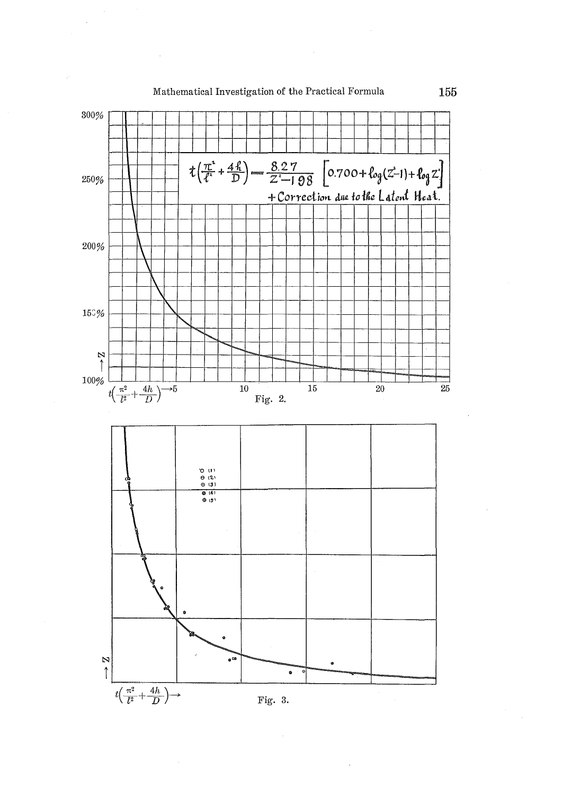

Mathematical Investigation of the Practical Formula

155

Fig. 3.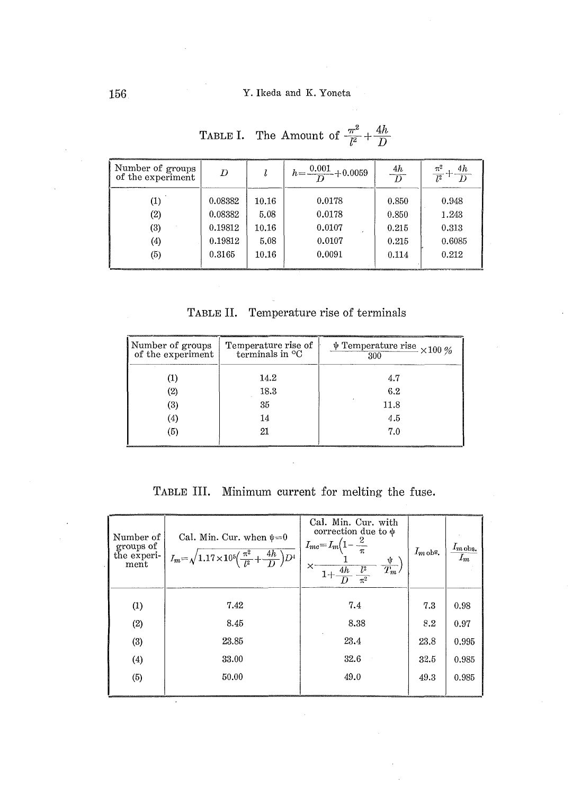| Number of groups<br>of the experiment | D       |       | $h = \frac{0.001}{D} + 0.0059$ | 4h<br>$\overline{D}$ | $\frac{\pi^2}{l^2} + \frac{4h}{D}$ |
|---------------------------------------|---------|-------|--------------------------------|----------------------|------------------------------------|
|                                       | 0.08382 | 10.16 | 0.0178                         | 0.850                | 0.948                              |
| (2)                                   | 0.08382 | 5.08  | 0.0178                         | 0.850                | 1.243                              |
| $\left( 3\right)$                     | 0.19812 | 10.16 | 0.0107                         | 0.215                | 0.313                              |
| $\left( 4\right)$                     | 0.19812 | 5.08  | 0.0107                         | 0.215                | 0.6085                             |
| (5)                                   | 0.3165  | 10.16 | 0.0091                         | 0.114                | 0.212                              |

TABLE I. The Amount of  $\frac{\pi^2}{l^2} + \frac{4h}{D}$ 

| Table II. | Temperature rise of terminals |  |  |  |
|-----------|-------------------------------|--|--|--|
|-----------|-------------------------------|--|--|--|

| Number of groups<br>of the experiment | Temperature rise of<br>terminals in $\mathrm{^{\circ}C}$ | $\frac{\psi \text{ Temperature rise}}{300} \times 100\text{ }\%\text{}$ |
|---------------------------------------|----------------------------------------------------------|-------------------------------------------------------------------------|
|                                       | 14.2                                                     | 4.7                                                                     |
| $\left( 2\right)$                     | 18.3                                                     | 6.2                                                                     |
| $\left(3\right)$                      | 35                                                       | 11.8                                                                    |
| (4)                                   | 14                                                       | 4.5                                                                     |
| (5)                                   | 21                                                       | 7.0                                                                     |

TABLE III. Minimum current for melting the fuse.

| Number of<br>groups of<br>the experi-<br>ment | Cal. Min. Cur. when $\psi = 0$<br>$I_m = \sqrt{1.17 \times 10^5 \left(\frac{\pi^2}{l^2} + \frac{4h}{D}\right) D^4}$ | Cal. Min. Cur. with<br>correction due to $\psi$<br>$I_{mc} = I_m \left(1 - \frac{2}{\pi}\right)$<br>$\times$ $\frac{1}{1+\frac{4h}{D}\frac{l^2}{\pi^2}}$<br>$\frac{\Psi}{T_m}$ | $I_{m \, {\rm obs.}}$ | $\frac{I_{m\,\rm obs.}}{I_m}$ |
|-----------------------------------------------|---------------------------------------------------------------------------------------------------------------------|--------------------------------------------------------------------------------------------------------------------------------------------------------------------------------|-----------------------|-------------------------------|
| (1)                                           | 7.42                                                                                                                | 7.4                                                                                                                                                                            | 7.3                   | 0.98                          |
| (2)                                           | 8.45                                                                                                                | 8.38                                                                                                                                                                           | 8.2                   | 0.97                          |
| (3)                                           | 23.85                                                                                                               | 23.4                                                                                                                                                                           | 23.8                  | 0.995                         |
| (4)                                           | 33.00                                                                                                               | 32.6                                                                                                                                                                           | 32.5                  | 0.985                         |
| (5)                                           | 50.00                                                                                                               | 49.0                                                                                                                                                                           | 49.3                  | 0.985                         |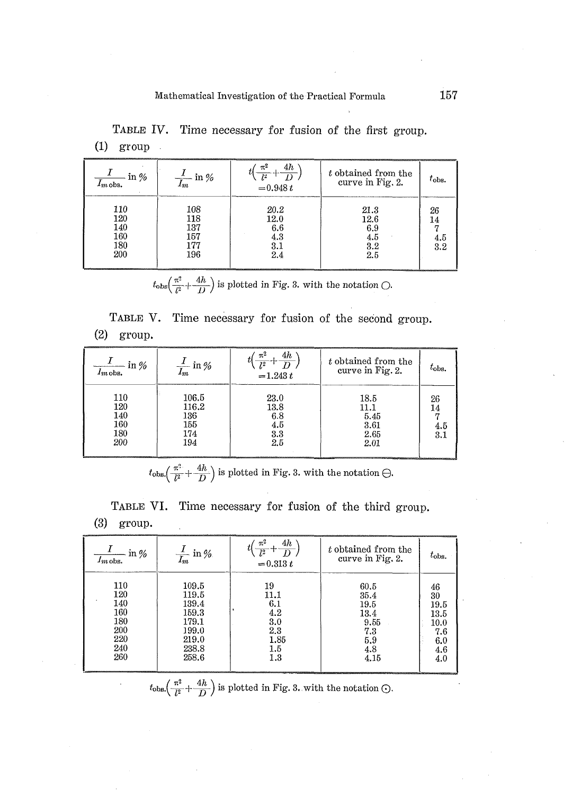| in $%$<br>$I_{m \, \rm obs.}$          | $\frac{1}{I_m}$ in $\%$                | 4h<br>$\pi^2$<br>Ţ2<br>$= 0.948 t$       | t obtained from the<br>curve in Fig. 2.  | $t_{obs.}$             |
|----------------------------------------|----------------------------------------|------------------------------------------|------------------------------------------|------------------------|
| 110<br>120<br>140<br>160<br>180<br>200 | 108<br>118<br>137<br>157<br>177<br>196 | 20.2<br>12.0<br>6.6<br>4.3<br>3.1<br>2.4 | 21.3<br>12.6<br>6.9<br>4.5<br>3.2<br>2.5 | 26<br>14<br>4.5<br>3.2 |

TABLE IV. Time necessary for fusion of the first group.  $(1)$  group  $\ddot{\phantom{a}}$ 

 $t_{\text{obs}}\left(\frac{\pi^2}{l^2} + \frac{4h}{D}\right)$  is plotted in Fig. 3. with the notation  $\bigcirc$ .

TABLE V. Time necessary for fusion of the second group.

| (2) | group |
|-----|-------|
|-----|-------|

| $\frac{1}{I_{m}$ obs.                  | $\frac{1}{I_m}$ in %                       | 4h<br>$\pi^2$<br>$=1.243 t$              | t obtained from the<br>curve in Fig. 2.      | $\tau_{\rm obs.}$ |
|----------------------------------------|--------------------------------------------|------------------------------------------|----------------------------------------------|-------------------|
| 110<br>120<br>140<br>160<br>180<br>200 | 106.5<br>116.2<br>136<br>155<br>174<br>194 | 23.0<br>13.8<br>6.8<br>4.5<br>3.3<br>2.5 | 18.5<br>11.1<br>5.45<br>3.61<br>2.65<br>2.01 | 26<br>4.5<br>3.1  |

 $t_{\rm obs}\left(\frac{\pi^2}{l^2}+\frac{4h}{D}\right)$  is plotted in Fig. 3. with the notation  $\ominus$ .

TABLE VI. Time necessary for fusion of the third group.  $(3)$  group.

| $\frac{1}{I_{m \text{obs}}}$ in % | $\frac{1}{I_m}$ in %. | 4h<br>π"<br>$\overline{I^2}$<br>$= 0.313 t$ | t obtained from the<br>curve in Fig. 2. | $t_{\rm obs.}$ |
|-----------------------------------|-----------------------|---------------------------------------------|-----------------------------------------|----------------|
| 110                               | 109.5                 | 19                                          | 60.5                                    | 46             |
| 120                               | 119.5                 | 11.1                                        | 35.4                                    | 30             |
| 140                               | 139.4                 | 6.1                                         | 19.5                                    | 19.5           |
| 160                               | 159.3                 | 4.2                                         | 13.4                                    | 13.5           |
| 180                               | 179.1                 | 3.0                                         | 9.55                                    | 10.0           |
| 200                               | 199.0                 | 2.3                                         | 7.3                                     | 7.6            |
| 220                               | 219.0                 | 1.85                                        | 5.9                                     | 6.0            |
| 240                               | 238.8                 | 1.5                                         | 4.8                                     | 4.6            |
| 260                               | 258.6                 | 1.3                                         | 4.15                                    | 4.0            |

 $t_{\text{obs}}\left(\frac{\pi^2}{l^2} + \frac{4h}{D}\right)$  is plotted in Fig. 3. with the notation  $\odot$ .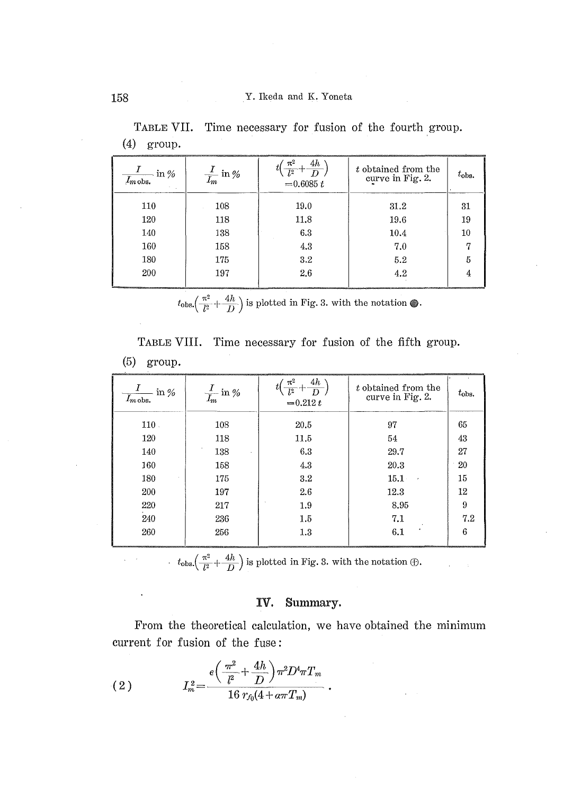| $\frac{1}{I_{m} \text{obs.}}$ in % | $\frac{1}{I_m}$ in % | 4h<br>$\pi^2$<br>$\overline{l^2}$<br>D<br>$= 0.6085 t$ | t obtained from the<br>curve in Fig. 2. | $t_{obs.}$ |
|------------------------------------|----------------------|--------------------------------------------------------|-----------------------------------------|------------|
| 110                                | 108                  | 19.0                                                   | 31.2                                    | 31         |
| 120                                | 118                  | 11.8                                                   | 19.6                                    | 19         |
| 140                                | 138                  | 6.3                                                    | 10.4                                    | 10         |
| 160                                | 158                  | 4.3                                                    | 7.0                                     |            |
| 180                                | 175                  | 3.2                                                    | 5.2                                     |            |
| 200                                | 197                  | 2.6                                                    | 4.2                                     |            |
|                                    |                      |                                                        |                                         |            |

TABLE VII. Time necessary for fusion of the fourth group.  $(4)$  group.

 $t_{\text{obs}}\left(\frac{\pi^2}{l^2} + \frac{4h}{D}\right)$  is plotted in Fig. 3. with the notation  $\circledast$ .

TABLE VIII. Time necessary for fusion of the fifth group.  $(5)$  group.

| $\frac{1}{I_{m \text{obs}}}$ in % | $\frac{I}{I_m}$ in % | 4h<br>$\pi^2$<br>$= 0.212 t$ | t obtained from the<br>curve in Fig. 2. | $t_{\rm obs.}$ |
|-----------------------------------|----------------------|------------------------------|-----------------------------------------|----------------|
| 110.                              | 108                  | 20.5                         | 97                                      | 65             |
| 120                               | 118                  | 11.5                         | 54                                      | 43             |
| 140                               | 138                  | 6.3                          | 29.7                                    | 27             |
| 160                               | 158                  | 4.3                          | 20.3                                    | 20             |
| 180                               | 175                  | 3.2                          | 15.1<br>$\epsilon$                      | 15             |
| 200                               | 197                  | 2.6                          | 12.3                                    | 12             |
| 220                               | 217                  | 1.9                          | 8.95                                    | 9              |
| 240                               | 236                  | 1.5                          | 7.1                                     | 7.2            |
| 260                               | 256                  | 1.3                          | 6.1                                     | 6              |

 $t_{\text{obs}}\left(\frac{\pi^2}{l^2} + \frac{4h}{D}\right)$  is plotted in Fig. 3. with the notation  $\bigoplus$ .

#### Summary. IV.

From the theoretical calculation, we have obtained the minimum current for fusion of the fuse:

(2) 
$$
I_m^2 = \frac{\epsilon \left(\frac{\pi^2}{l^2} + \frac{4h}{D}\right) \pi^2 D^4 \pi T_m}{16 \ r_{f_0} (4 + \alpha \pi T_m)}
$$